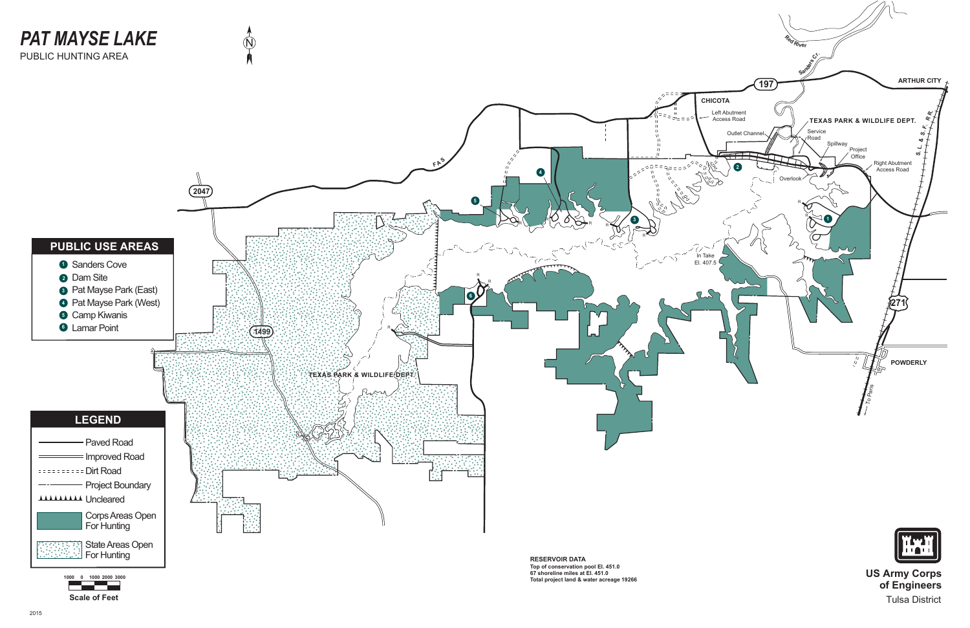**US Army Corps of Engineers** Tulsa District



**1000 0 1000 2000 3000 Scale of Feet**